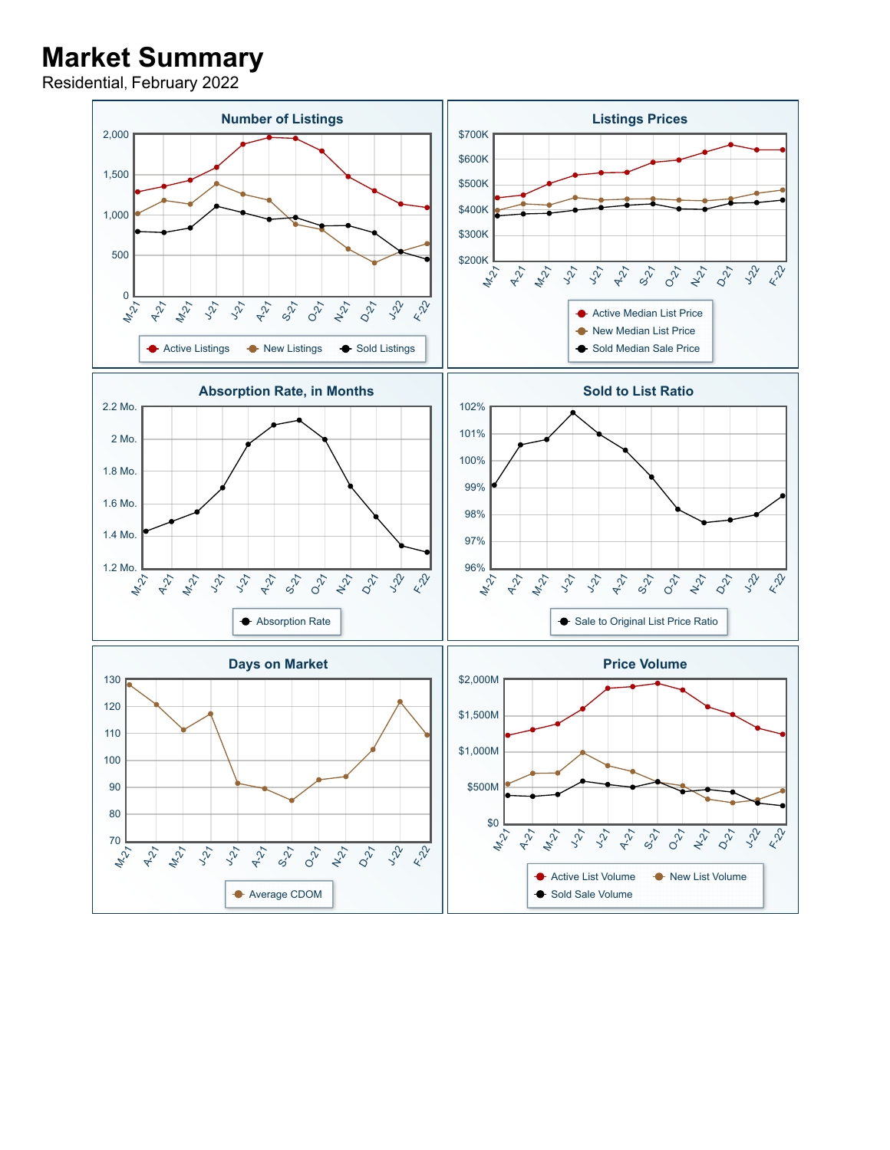## **Market Summary**

Residential, February 2022

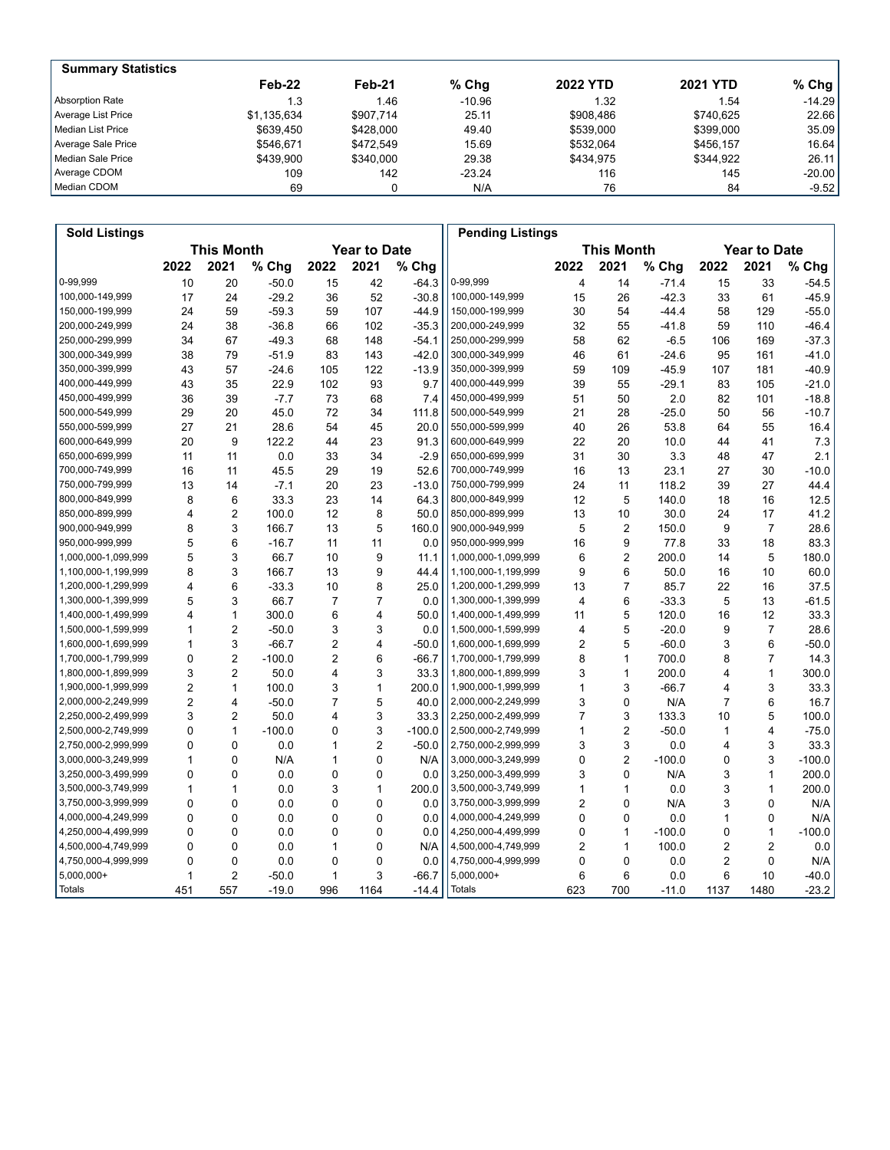| <b>Summary Statistics</b> |             |           |          |                 |                 |           |
|---------------------------|-------------|-----------|----------|-----------------|-----------------|-----------|
|                           | Feb-22      | Feb-21    | $%$ Chq  | <b>2022 YTD</b> | <b>2021 YTD</b> | % Chg $ $ |
| Absorption Rate           | 1.3         | 1.46      | $-10.96$ | 1.32            | 1.54            | $-14.29$  |
| Average List Price        | \$1.135.634 | \$907.714 | 25.11    | \$908.486       | \$740.625       | 22.66     |
| Median List Price         | \$639.450   | \$428,000 | 49.40    | \$539,000       | \$399,000       | 35.09     |
| Average Sale Price        | \$546.671   | \$472.549 | 15.69    | \$532.064       | \$456.157       | 16.64     |
| Median Sale Price         | \$439.900   | \$340.000 | 29.38    | \$434.975       | \$344.922       | 26.11     |
| Average CDOM              | 109         | 142       | $-23.24$ | 116             | 145             | $-20.00$  |
| Median CDOM               | 69          |           | N/A      | 76              | 84              | $-9.52$   |

| <b>Sold Listings</b> |                |                   |          |                         |                     |          | <b>Pending Listings</b> |                         |                   |          |                |                     |          |
|----------------------|----------------|-------------------|----------|-------------------------|---------------------|----------|-------------------------|-------------------------|-------------------|----------|----------------|---------------------|----------|
|                      |                | <b>This Month</b> |          |                         | <b>Year to Date</b> |          |                         |                         | <b>This Month</b> |          |                | <b>Year to Date</b> |          |
|                      | 2022           | 2021              | % Chg    | 2022                    | 2021                | % Chg    |                         | 2022                    | 2021              | % Chg    | 2022           | 2021                | % Chg    |
| 0-99.999             | 10             | 20                | $-50.0$  | 15                      | 42                  | $-64.3$  | 0-99,999                | $\overline{\mathbf{4}}$ | 14                | $-71.4$  | 15             | 33                  | $-54.5$  |
| 100,000-149,999      | 17             | 24                | $-29.2$  | 36                      | 52                  | $-30.8$  | 100,000-149,999         | 15                      | 26                | $-42.3$  | 33             | 61                  | $-45.9$  |
| 150,000-199,999      | 24             | 59                | $-59.3$  | 59                      | 107                 | $-44.9$  | 150,000-199,999         | 30                      | 54                | $-44.4$  | 58             | 129                 | $-55.0$  |
| 200,000-249,999      | 24             | 38                | $-36.8$  | 66                      | 102                 | $-35.3$  | 200,000-249,999         | 32                      | 55                | $-41.8$  | 59             | 110                 | $-46.4$  |
| 250,000-299,999      | 34             | 67                | $-49.3$  | 68                      | 148                 | $-54.1$  | 250,000-299,999         | 58                      | 62                | $-6.5$   | 106            | 169                 | $-37.3$  |
| 300,000-349,999      | 38             | 79                | $-51.9$  | 83                      | 143                 | $-42.0$  | 300,000-349,999         | 46                      | 61                | $-24.6$  | 95             | 161                 | $-41.0$  |
| 350,000-399,999      | 43             | 57                | $-24.6$  | 105                     | 122                 | $-13.9$  | 350,000-399,999         | 59                      | 109               | $-45.9$  | 107            | 181                 | $-40.9$  |
| 400,000-449,999      | 43             | 35                | 22.9     | 102                     | 93                  | 9.7      | 400,000-449,999         | 39                      | 55                | $-29.1$  | 83             | 105                 | $-21.0$  |
| 450,000-499,999      | 36             | 39                | $-7.7$   | 73                      | 68                  | 7.4      | 450,000-499,999         | 51                      | 50                | 2.0      | 82             | 101                 | $-18.8$  |
| 500,000-549,999      | 29             | 20                | 45.0     | 72                      | 34                  | 111.8    | 500,000-549,999         | 21                      | 28                | $-25.0$  | 50             | 56                  | $-10.7$  |
| 550,000-599,999      | 27             | 21                | 28.6     | 54                      | 45                  | 20.0     | 550,000-599,999         | 40                      | 26                | 53.8     | 64             | 55                  | 16.4     |
| 600,000-649,999      | 20             | 9                 | 122.2    | 44                      | 23                  | 91.3     | 600,000-649,999         | 22                      | 20                | 10.0     | 44             | 41                  | 7.3      |
| 650,000-699,999      | 11             | 11                | 0.0      | 33                      | 34                  | $-2.9$   | 650,000-699,999         | 31                      | 30                | 3.3      | 48             | 47                  | 2.1      |
| 700,000-749,999      | 16             | 11                | 45.5     | 29                      | 19                  | 52.6     | 700,000-749,999         | 16                      | 13                | 23.1     | 27             | 30                  | $-10.0$  |
| 750,000-799,999      | 13             | 14                | $-7.1$   | 20                      | 23                  | $-13.0$  | 750,000-799,999         | 24                      | 11                | 118.2    | 39             | 27                  | 44.4     |
| 800,000-849,999      | 8              | 6                 | 33.3     | 23                      | 14                  | 64.3     | 800,000-849,999         | 12                      | 5                 | 140.0    | 18             | 16                  | 12.5     |
| 850,000-899,999      | 4              | $\overline{2}$    | 100.0    | 12                      | 8                   | 50.0     | 850,000-899,999         | 13                      | 10                | 30.0     | 24             | 17                  | 41.2     |
| 900,000-949,999      | 8              | 3                 | 166.7    | 13                      | 5                   | 160.0    | 900,000-949,999         | 5                       | $\mathbf 2$       | 150.0    | 9              | $\overline{7}$      | 28.6     |
| 950,000-999,999      | 5              | 6                 | $-16.7$  | 11                      | 11                  | 0.0      | 950,000-999,999         | 16                      | 9                 | 77.8     | 33             | 18                  | 83.3     |
| 1,000,000-1,099,999  | 5              | 3                 | 66.7     | 10                      | 9                   | 11.1     | 1,000,000-1,099,999     | 6                       | $\overline{2}$    | 200.0    | 14             | 5                   | 180.0    |
| 1,100,000-1,199,999  | 8              | 3                 | 166.7    | 13                      | 9                   | 44.4     | 1,100,000-1,199,999     | 9                       | 6                 | 50.0     | 16             | 10                  | 60.0     |
| 1,200,000-1,299,999  | 4              | 6                 | $-33.3$  | 10                      | 8                   | 25.0     | 1,200,000-1,299,999     | 13                      | $\overline{7}$    | 85.7     | 22             | 16                  | 37.5     |
| 1,300,000-1,399,999  | 5              | 3                 | 66.7     | $\overline{7}$          | $\overline{7}$      | 0.0      | 1,300,000-1,399,999     | 4                       | 6                 | $-33.3$  | 5              | 13                  | $-61.5$  |
| 1,400,000-1,499,999  | 4              | $\mathbf{1}$      | 300.0    | 6                       | 4                   | 50.0     | 1,400,000-1,499,999     | 11                      | 5                 | 120.0    | 16             | 12                  | 33.3     |
| 1,500,000-1,599,999  | 1              | $\overline{2}$    | $-50.0$  | 3                       | 3                   | 0.0      | 1,500,000-1,599,999     | $\overline{4}$          | 5                 | $-20.0$  | 9              | $\overline{7}$      | 28.6     |
| 1,600,000-1,699,999  | $\mathbf{1}$   | 3                 | $-66.7$  | $\overline{\mathbf{c}}$ | 4                   | $-50.0$  | 1,600,000-1,699,999     | $\boldsymbol{2}$        | 5                 | $-60.0$  | 3              | 6                   | $-50.0$  |
| 1,700,000-1,799,999  | 0              | $\overline{2}$    | $-100.0$ | $\overline{2}$          | 6                   | $-66.7$  | 1,700,000-1,799,999     | 8                       | $\mathbf{1}$      | 700.0    | 8              | $\overline{7}$      | 14.3     |
| 1,800,000-1,899,999  | 3              | $\sqrt{2}$        | 50.0     | 4                       | 3                   | 33.3     | 1,800,000-1,899,999     | 3                       | $\mathbf{1}$      | 200.0    | 4              | $\mathbf{1}$        | 300.0    |
| 1,900,000-1,999,999  | $\overline{2}$ | $\mathbf{1}$      | 100.0    | 3                       | $\mathbf{1}$        | 200.0    | 1,900,000-1,999,999     | $\mathbf{1}$            | 3                 | $-66.7$  | 4              | 3                   | 33.3     |
| 2,000,000-2,249,999  | $\overline{2}$ | $\overline{4}$    | $-50.0$  | $\overline{7}$          | 5                   | 40.0     | 2,000,000-2,249,999     | 3                       | 0                 | N/A      | 7              | 6                   | 16.7     |
| 2,250,000-2,499,999  | 3              | $\overline{c}$    | 50.0     | 4                       | 3                   | 33.3     | 2,250,000-2,499,999     | $\overline{7}$          | 3                 | 133.3    | 10             | 5                   | 100.0    |
| 2,500,000-2,749,999  | $\Omega$       | $\mathbf{1}$      | $-100.0$ | 0                       | 3                   | $-100.0$ | 2,500,000-2,749,999     | $\mathbf{1}$            | $\overline{2}$    | $-50.0$  | 1              | 4                   | $-75.0$  |
| 2,750,000-2,999,999  | $\Omega$       | 0                 | 0.0      | $\mathbf{1}$            | $\overline{c}$      | $-50.0$  | 2,750,000-2,999,999     | 3                       | 3                 | 0.0      | 4              | 3                   | 33.3     |
| 3,000,000-3,249,999  | $\mathbf{1}$   | $\Omega$          | N/A      | $\mathbf{1}$            | 0                   | N/A      | 3,000,000-3,249,999     | $\mathbf 0$             | $\overline{2}$    | $-100.0$ | 0              | 3                   | $-100.0$ |
| 3,250,000-3,499,999  | $\Omega$       | $\Omega$          | 0.0      | $\Omega$                | $\overline{0}$      | 0.0      | 3,250,000-3,499,999     | 3                       | $\Omega$          | N/A      | 3              | 1                   | 200.0    |
| 3,500,000-3,749,999  | 1              | $\mathbf{1}$      | 0.0      | 3                       | 1                   | 200.0    | 3,500,000-3,749,999     | 1                       | $\mathbf{1}$      | 0.0      | 3              | $\mathbf{1}$        | 200.0    |
| 3,750,000-3,999,999  | $\Omega$       | $\Omega$          | 0.0      | 0                       | 0                   | 0.0      | 3,750,000-3,999,999     | 2                       | $\mathbf 0$       | N/A      | 3              | 0                   | N/A      |
| 4,000,000-4,249,999  | $\Omega$       | $\Omega$          | 0.0      | $\Omega$                | 0                   | 0.0      | 4,000,000-4,249,999     | 0                       | $\mathbf 0$       | 0.0      | $\mathbf{1}$   | 0                   | N/A      |
| 4,250,000-4,499,999  | $\Omega$       | $\Omega$          | 0.0      | $\mathbf 0$             | 0                   | 0.0      | 4,250,000-4,499,999     | 0                       | $\mathbf{1}$      | $-100.0$ | 0              | $\mathbf{1}$        | $-100.0$ |
| 4,500,000-4,749,999  | 0              | $\Omega$          | 0.0      | 1                       | 0                   | N/A      | 4,500,000-4,749,999     | 2                       | $\mathbf{1}$      | 100.0    | 2              | $\overline{2}$      | 0.0      |
| 4,750,000-4,999,999  | $\Omega$       | $\mathbf 0$       | 0.0      | $\Omega$                | 0                   | 0.0      | 4,750,000-4,999,999     | $\mathbf 0$             | $\mathbf 0$       | 0.0      | $\overline{2}$ | 0                   | N/A      |
| $5,000,000+$         | 1              | $\overline{2}$    | $-50.0$  | 1                       | 3                   | $-66.7$  | 5,000,000+              | 6                       | 6                 | 0.0      | 6              | 10                  | $-40.0$  |
| Totals               | 451            | 557               | $-19.0$  | 996                     | 1164                | $-14.4$  | <b>Totals</b>           | 623                     | 700               | $-11.0$  | 1137           | 1480                | $-23.2$  |